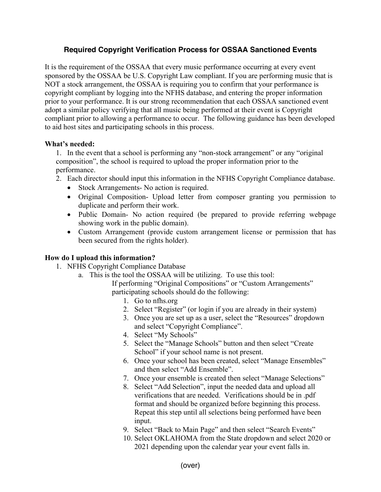## **Required Copyright Verification Process for OSSAA Sanctioned Events**

It is the requirement of the OSSAA that every music performance occurring at every event sponsored by the OSSAA be U.S. Copyright Law compliant. If you are performing music that is NOT a stock arrangement, the OSSAA is requiring you to confirm that your performance is copyright compliant by logging into the NFHS database, and entering the proper information prior to your performance. It is our strong recommendation that each OSSAA sanctioned event adopt a similar policy verifying that all music being performed at their event is Copyright compliant prior to allowing a performance to occur. The following guidance has been developed to aid host sites and participating schools in this process.

## **What's needed:**

1. In the event that a school is performing any "non-stock arrangement" or any "original composition", the school is required to upload the proper information prior to the performance.

- 2. Each director should input this information in the NFHS Copyright Compliance database.
	- Stock Arrangements- No action is required.
	- Original Composition- Upload letter from composer granting you permission to duplicate and perform their work.
	- Public Domain- No action required (be prepared to provide referring webpage showing work in the public domain).
	- Custom Arrangement (provide custom arrangement license or permission that has been secured from the rights holder).

## **How do I upload this information?**

- 1. NFHS Copyright Compliance Database
	- a. This is the tool the OSSAA will be utilizing. To use this tool:
		- If performing "Original Compositions" or "Custom Arrangements" participating schools should do the following:
			- 1. Go to nfhs.org
			- 2. Select "Register" (or login if you are already in their system)
			- 3. Once you are set up as a user, select the "Resources" dropdown and select "Copyright Compliance".
			- 4. Select "My Schools"
			- 5. Select the "Manage Schools" button and then select "Create School" if your school name is not present.
			- 6. Once your school has been created, select "Manage Ensembles" and then select "Add Ensemble".
			- 7. Once your ensemble is created then select "Manage Selections"
			- 8. Select "Add Selection", input the needed data and upload all verifications that are needed. Verifications should be in .pdf format and should be organized before beginning this process. Repeat this step until all selections being performed have been input.
			- 9. Select "Back to Main Page" and then select "Search Events"
			- 10. Select OKLAHOMA from the State dropdown and select 2020 or 2021 depending upon the calendar year your event falls in.